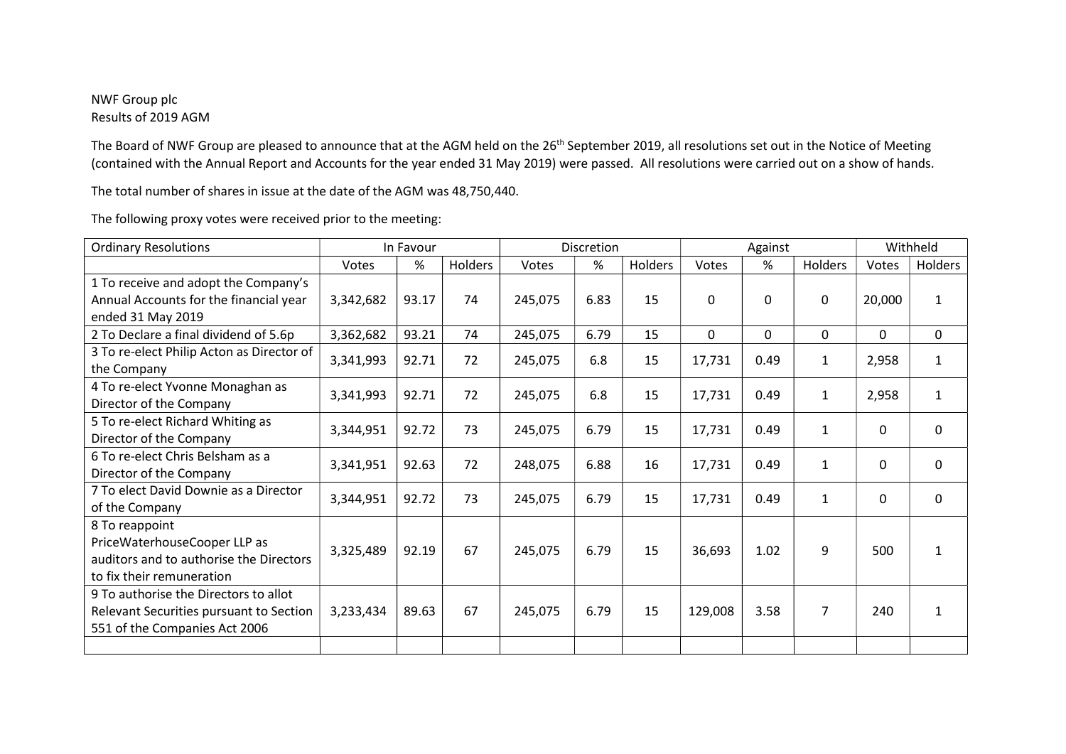## NWF Group plc Results of 2019 AGM

The Board of NWF Group are pleased to announce that at the AGM held on the 26<sup>th</sup> September 2019, all resolutions set out in the Notice of Meeting (contained with the Annual Report and Accounts for the year ended 31 May 2019) were passed. All resolutions were carried out on a show of hands.

The total number of shares in issue at the date of the AGM was 48,750,440.

| <b>Ordinary Resolutions</b>               | In Favour |       |                | <b>Discretion</b> |      |         | Against |          |                | Withheld |              |
|-------------------------------------------|-----------|-------|----------------|-------------------|------|---------|---------|----------|----------------|----------|--------------|
|                                           | Votes     | %     | <b>Holders</b> | Votes             | %    | Holders | Votes   | %        | <b>Holders</b> | Votes    | Holders      |
| 1 To receive and adopt the Company's      |           |       |                |                   |      |         |         |          |                |          |              |
| Annual Accounts for the financial year    | 3,342,682 | 93.17 | 74             | 245,075           | 6.83 | 15      | 0       | $\Omega$ | 0              | 20,000   | 1            |
| ended 31 May 2019                         |           |       |                |                   |      |         |         |          |                |          |              |
| 2 To Declare a final dividend of 5.6p     | 3,362,682 | 93.21 | 74             | 245,075           | 6.79 | 15      | 0       | $\Omega$ | $\Omega$       | 0        | 0            |
| 3 To re-elect Philip Acton as Director of | 3,341,993 | 92.71 | 72             | 245,075           | 6.8  | 15      | 17,731  | 0.49     | 1              | 2,958    | $\mathbf{1}$ |
| the Company                               |           |       |                |                   |      |         |         |          |                |          |              |
| 4 To re-elect Yvonne Monaghan as          | 3,341,993 | 92.71 | 72             | 245,075           | 6.8  | 15      | 17,731  | 0.49     | $\mathbf{1}$   | 2,958    | $\mathbf{1}$ |
| Director of the Company                   |           |       |                |                   |      |         |         |          |                |          |              |
| 5 To re-elect Richard Whiting as          | 3,344,951 | 92.72 | 73             | 245,075           | 6.79 | 15      | 17,731  | 0.49     | 1              | 0        | $\mathbf 0$  |
| Director of the Company                   |           |       |                |                   |      |         |         |          |                |          |              |
| 6 To re-elect Chris Belsham as a          | 3,341,951 | 92.63 | 72             | 248,075           | 6.88 | 16      | 17,731  | 0.49     | $\mathbf{1}$   | 0        | $\mathbf 0$  |
| Director of the Company                   |           |       |                |                   |      |         |         |          |                |          |              |
| 7 To elect David Downie as a Director     | 3,344,951 | 92.72 | 73             | 245,075           | 6.79 | 15      | 17,731  | 0.49     | 1              | 0        | $\mathbf 0$  |
| of the Company                            |           |       |                |                   |      |         |         |          |                |          |              |
| 8 To reappoint                            |           |       |                |                   |      |         |         |          |                |          |              |
| PriceWaterhouseCooper LLP as              | 3,325,489 | 92.19 | 67             | 245,075           | 6.79 | 15      | 36,693  | 1.02     | 9              | 500      | $\mathbf{1}$ |
| auditors and to authorise the Directors   |           |       |                |                   |      |         |         |          |                |          |              |
| to fix their remuneration                 |           |       |                |                   |      |         |         |          |                |          |              |
| 9 To authorise the Directors to allot     |           |       |                |                   |      |         |         |          |                |          |              |
| Relevant Securities pursuant to Section   | 3,233,434 | 89.63 | 67             | 245,075           | 6.79 | 15      | 129,008 | 3.58     | $\overline{7}$ | 240      | 1            |
| 551 of the Companies Act 2006             |           |       |                |                   |      |         |         |          |                |          |              |
|                                           |           |       |                |                   |      |         |         |          |                |          |              |

The following proxy votes were received prior to the meeting: